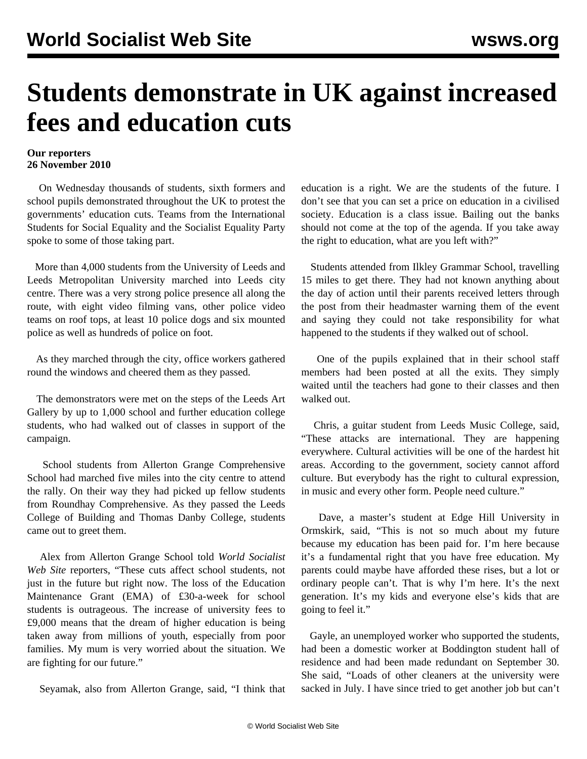## **Students demonstrate in UK against increased fees and education cuts**

## **Our reporters 26 November 2010**

 On Wednesday thousands of students, sixth formers and school pupils demonstrated throughout the UK to protest the governments' education cuts. Teams from the International Students for Social Equality and the Socialist Equality Party spoke to some of those taking part.

 More than 4,000 students from the University of Leeds and Leeds Metropolitan University marched into Leeds city centre. There was a very strong police presence all along the route, with eight video filming vans, other police video teams on roof tops, at least 10 police dogs and six mounted police as well as hundreds of police on foot.

 As they marched through the city, office workers gathered round the windows and cheered them as they passed.

 The demonstrators were met on the steps of the Leeds Art Gallery by up to 1,000 school and further education college students, who had walked out of classes in support of the campaign.

 School students from Allerton Grange Comprehensive School had marched five miles into the city centre to attend the rally. On their way they had picked up fellow students from Roundhay Comprehensive. As they passed the Leeds College of Building and Thomas Danby College, students came out to greet them.

 Alex from Allerton Grange School told *World Socialist Web Site* reporters, "These cuts affect school students, not just in the future but right now. The loss of the Education Maintenance Grant (EMA) of £30-a-week for school students is outrageous. The increase of university fees to £9,000 means that the dream of higher education is being taken away from millions of youth, especially from poor families. My mum is very worried about the situation. We are fighting for our future."

Seyamak, also from Allerton Grange, said, "I think that

education is a right. We are the students of the future. I don't see that you can set a price on education in a civilised society. Education is a class issue. Bailing out the banks should not come at the top of the agenda. If you take away the right to education, what are you left with?"

 Students attended from Ilkley Grammar School, travelling 15 miles to get there. They had not known anything about the day of action until their parents received letters through the post from their headmaster warning them of the event and saying they could not take responsibility for what happened to the students if they walked out of school.

 One of the pupils explained that in their school staff members had been posted at all the exits. They simply waited until the teachers had gone to their classes and then walked out.

 Chris, a guitar student from Leeds Music College, said, "These attacks are international. They are happening everywhere. Cultural activities will be one of the hardest hit areas. According to the government, society cannot afford culture. But everybody has the right to cultural expression, in music and every other form. People need culture."

 Dave, a master's student at Edge Hill University in Ormskirk, said, "This is not so much about my future because my education has been paid for. I'm here because it's a fundamental right that you have free education. My parents could maybe have afforded these rises, but a lot or ordinary people can't. That is why I'm here. It's the next generation. It's my kids and everyone else's kids that are going to feel it."

 Gayle, an unemployed worker who supported the students, had been a domestic worker at Boddington student hall of residence and had been made redundant on September 30. She said, "Loads of other cleaners at the university were sacked in July. I have since tried to get another job but can't